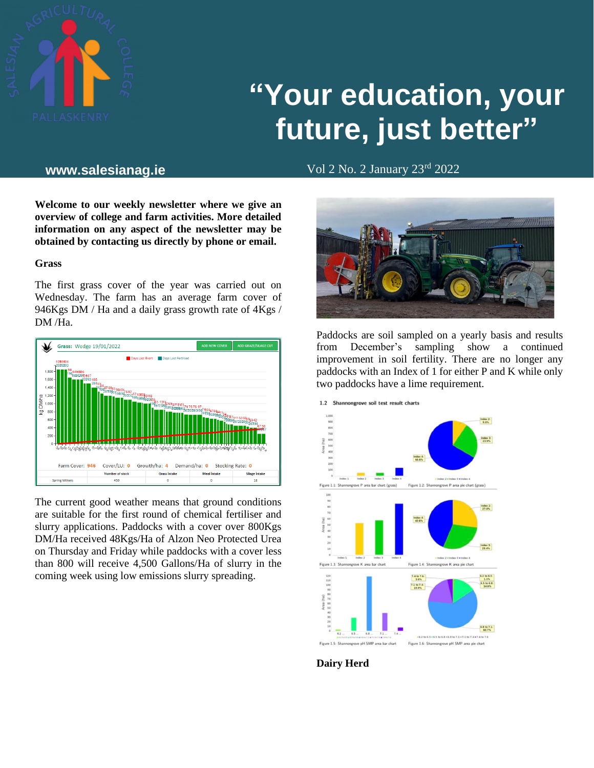

# **"Your education, your future, just better"**

Vol 2 No. 2 January 23rd **www.salesianag.ie** 2022

**Welcome to our weekly newsletter where we give an overview of college and farm activities. More detailed information on any aspect of the newsletter may be obtained by contacting us directly by phone or email.**

#### **Grass**

The first grass cover of the year was carried out on Wednesday. The farm has an average farm cover of 946Kgs DM / Ha and a daily grass growth rate of 4Kgs / DM /Ha.



The current good weather means that ground conditions are suitable for the first round of chemical fertiliser and slurry applications. Paddocks with a cover over 800Kgs DM/Ha received 48Kgs/Ha of Alzon Neo Protected Urea on Thursday and Friday while paddocks with a cover less than 800 will receive 4,500 Gallons/Ha of slurry in the coming week using low emissions slurry spreading.



Paddocks are soil sampled on a yearly basis and results from December's sampling show a continued improvement in soil fertility. There are no longer any paddocks with an Index of 1 for either P and K while only two paddocks have a lime requirement.



**Dairy Herd**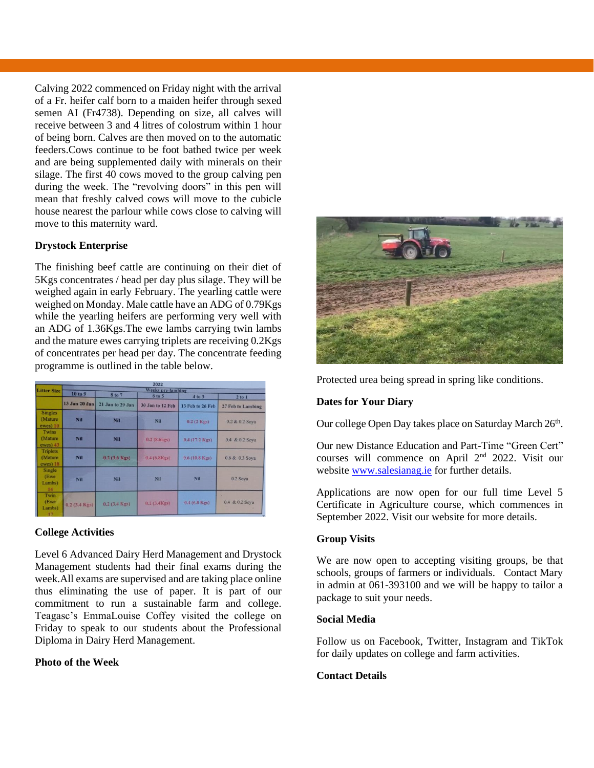Calving 2022 commenced on Friday night with the arrival of a Fr. heifer calf born to a maiden heifer through sexed semen AI (Fr4738). Depending on size, all calves will receive between 3 and 4 litres of colostrum within 1 hour of being born. Calves are then moved on to the automatic feeders.Cows continue to be foot bathed twice per week and are being supplemented daily with minerals on their silage. The first 40 cows moved to the group calving pen during the week. The "revolving doors" in this pen will mean that freshly calved cows will move to the cubicle house nearest the parlour while cows close to calving will move to this maternity ward.

# **Drystock Enterprise**

The finishing beef cattle are continuing on their diet of 5Kgs concentrates / head per day plus silage. They will be weighed again in early February. The yearling cattle were weighed on Monday. Male cattle have an ADG of 0.79Kgs while the yearling heifers are performing very well with an ADG of 1.36Kgs.The ewe lambs carrying twin lambs and the mature ewes carrying triplets are receiving 0.2Kgs of concentrates per head per day. The concentrate feeding programme is outlined in the table below.

|                                         | 2022<br>Weeks pre-lambing |                  |                      |                         |                     |
|-----------------------------------------|---------------------------|------------------|----------------------|-------------------------|---------------------|
| <b>Litter Size</b>                      |                           |                  |                      |                         |                     |
|                                         | 10 to 9                   | 8 to 7           | 6 to 5               | 4 to 3                  | 2 to 1              |
|                                         | 13 Jan 20 Jan             | 21 Jan to 29 Jan | 30 Jan to 12 Feb     | 13 Feb to 26 Feb        | 27 Feb to Lambing   |
| <b>Singles</b><br>(Mature)<br>ewes) 10  | Nil                       | Nil              | Nil                  | $0.2(2$ Kgs)            | 0.2 & 0.2 Soya      |
| Twins<br>(Mature<br>ewes) 43            | Nil                       | Nil              | $0.2(8.6 \text{kg})$ | $0.4(17.2 \text{ Kgs})$ | 0.4 & 0.2 Soya      |
| <b>Triplets</b><br>(Mature)<br>ewes) 18 | Nil                       | $0.2$ (3.6 Kgs)  | 0.4(6.8Kgs)          | $0.6(10.8 \text{ Kgs})$ | 0.6 & 0.3 Soya      |
| <b>Single</b><br>(Ewe<br>Lambs)<br>14   | <b>Nil</b>                | Nil              | Nil                  | Nil                     | 0.2 Sova            |
| Twin<br>(Ewe<br>Lambs)<br>17.7          | $0.2$ (3.4 Kgs)           | $0.2$ (3.4 Kgs)  | 0.2(3.4Kgs)          | $0.4(6.8 \text{ Kgs})$  | ۰<br>0.4 & 0.2 Soya |

### **College Activities**

Level 6 Advanced Dairy Herd Management and Drystock Management students had their final exams during the week.All exams are supervised and are taking place online thus eliminating the use of paper. It is part of our commitment to run a sustainable farm and college. Teagasc's EmmaLouise Coffey visited the college on Friday to speak to our students about the Professional Diploma in Dairy Herd Management.

# **Photo of the Week**



Protected urea being spread in spring like conditions.

## **Dates for Your Diary**

Our college Open Day takes place on Saturday March 26<sup>th</sup>.

Our new Distance Education and Part-Time "Green Cert" courses will commence on April 2nd 2022. Visit our websit[e www.salesianag.ie](http://www.salesianag.ie/) for further details.

Applications are now open for our full time Level 5 Certificate in Agriculture course, which commences in September 2022. Visit our website for more details.

# **Group Visits**

We are now open to accepting visiting groups, be that schools, groups of farmers or individuals. Contact Mary in admin at 061-393100 and we will be happy to tailor a package to suit your needs.

### **Social Media**

Follow us on Facebook, Twitter, Instagram and TikTok for daily updates on college and farm activities.

### **Contact Details**